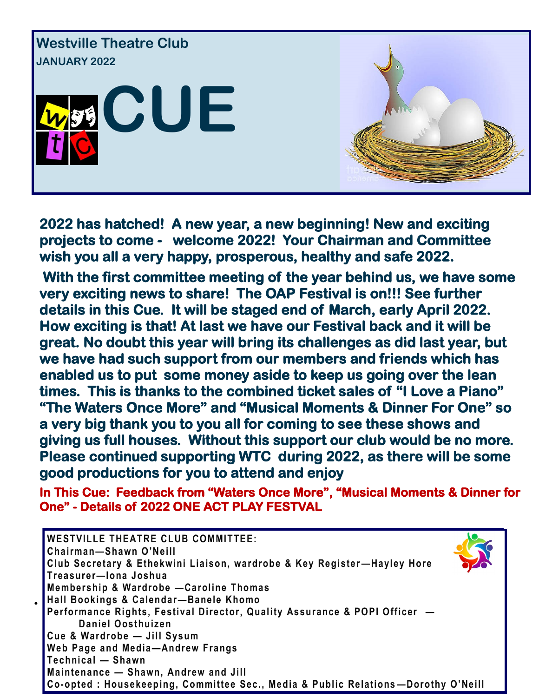

**2022 has hatched! A new year, a new beginning! New and exciting projects to come - welcome 2022! Your Chairman and Committee wish you all a very happy, prosperous, healthy and safe 2022.** 

 **With the first committee meeting of the year behind us, we have some very exciting news to share! The OAP Festival is on!!! See further details in this Cue. It will be staged end of March, early April 2022. How exciting is that! At last we have our Festival back and it will be great. No doubt this year will bring its challenges as did last year, but we have had such support from our members and friends which has enabled us to put some money aside to keep us going over the lean times. This is thanks to the combined ticket sales of "I Love a Piano" "The Waters Once More" and "Musical Moments & Dinner For One" so a very big thank you to you all for coming to see these shows and giving us full houses. Without this support our club would be no more. Please continued supporting WTC during 2022, as there will be some good productions for you to attend and enjoy** 

**In This Cue: Feedback from "Waters Once More", "Musical Moments & Dinner for One" - Details of 2022 ONE ACT PLAY FESTVAL** 

| <b>IWESTVILLE THEATRE CLUB COMMITTEE:</b><br>Chairman-Shawn O'Neill               |  |
|-----------------------------------------------------------------------------------|--|
| Club Secretary & Ethekwini Liaison, wardrobe & Key Register-Hayley Hore           |  |
| Treasurer-Iona Joshua                                                             |  |
| Membership & Wardrobe - Caroline Thomas                                           |  |
| Hall Bookings & Calendar-Banele Khomo                                             |  |
| Performance Rights, Festival Director, Quality Assurance & POPI Officer -         |  |
| Daniel Oosthuizen                                                                 |  |
| Cue & Wardrobe - Jill Sysum                                                       |  |
| Web Page and Media-Andrew Frangs                                                  |  |
| Technical - Shawn                                                                 |  |
| Maintenance - Shawn, Andrew and Jill                                              |  |
| Co-opted : Housekeeping, Committee Sec., Media & Public Relations-Dorothy O'Neill |  |

 $\bullet$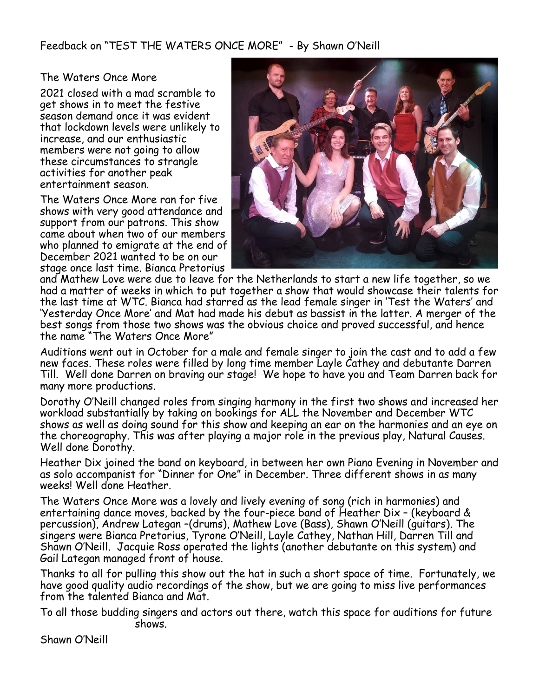Feedback on "TEST THE WATERS ONCE MORE" - By Shawn O'Neill

### The Waters Once More

2021 closed with a mad scramble to get shows in to meet the festive season demand once it was evident that lockdown levels were unlikely to increase, and our enthusiastic members were not going to allow these circumstances to strangle activities for another peak entertainment season.

The Waters Once More ran for five shows with very good attendance and support from our patrons. This show came about when two of our members who planned to emigrate at the end of December 2021 wanted to be on our stage once last time. Bianca Pretorius



and Mathew Love were due to leave for the Netherlands to start a new life together, so we had a matter of weeks in which to put together a show that would showcase their talents for the last time at WTC. Bianca had starred as the lead female singer in 'Test the Waters' and 'Yesterday Once More' and Mat had made his debut as bassist in the latter. A merger of the best songs from those two shows was the obvious choice and proved successful, and hence the name "The Waters Once More"

Auditions went out in October for a male and female singer to join the cast and to add a few new faces. These roles were filled by long time member Layle Cathey and debutante Darren Till. Well done Darren on braving our stage! We hope to have you and Team Darren back for many more productions.

Dorothy O'Neill changed roles from singing harmony in the first two shows and increased her workload substantially by taking on bookings for ALL the November and December WTC shows as well as doing sound for this show and keeping an ear on the harmonies and an eye on the choreography. This was after playing a major role in the previous play, Natural Causes. Well done Dorothy.

Heather Dix joined the band on keyboard, in between her own Piano Evening in November and as solo accompanist for "Dinner for One" in December. Three different shows in as many weeks! Well done Heather.

The Waters Once More was a lovely and lively evening of song (rich in harmonies) and entertaining dance moves, backed by the four-piece band of Heather Dix – (keyboard & percussion), Andrew Lategan –(drums), Mathew Love (Bass), Shawn O'Neill (guitars). The singers were Bianca Pretorius, Tyrone O'Neill, Layle Cathey, Nathan Hill, Darren Till and Shawn O'Neill. Jacquie Ross operated the lights (another debutante on this system) and Gail Lategan managed front of house.

Thanks to all for pulling this show out the hat in such a short space of time. Fortunately, we have good quality audio recordings of the show, but we are going to miss live performances from the talented Bianca and Mat.

To all those budding singers and actors out there, watch this space for auditions for future shows.

Shawn O'Neill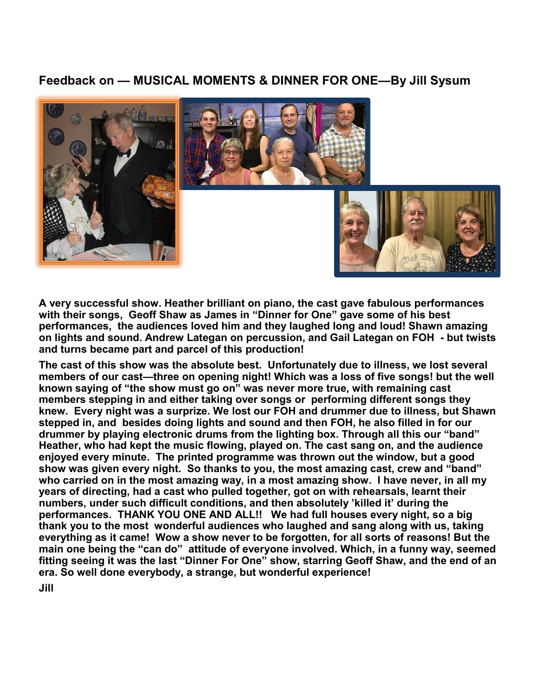## **Feedback on — MUSICAL MOMENTS & DINNER FOR ONE—By Jill Sysum**



**A very successful show. Heather brilliant on piano, the cast gave fabulous performances with their songs, Geoff Shaw as James in "Dinner for One" gave some of his best performances, the audiences loved him and they laughed long and loud! Shawn amazing on lights and sound. Andrew Lategan on percussion, and Gail Lategan on FOH - but twists and turns became part and parcel of this production!**

**The cast of this show was the absolute best. Unfortunately due to illness, we lost several members of our cast—three on opening night! Which was a loss of five songs! but the well known saying of "the show must go on" was never more true, with remaining cast members stepping in and either taking over songs or performing different songs they knew. Every night was a surprize. We lost our FOH and drummer due to illness, but Shawn stepped in, and besides doing lights and sound and then FOH, he also filled in for our drummer by playing electronic drums from the lighting box. Through all this our "band" Heather, who had kept the music flowing, played on. The cast sang on, and the audience enjoyed every minute. The printed programme was thrown out the window, but a good show was given every night. So thanks to you, the most amazing cast, crew and "band" who carried on in the most amazing way, in a most amazing show. I have never, in all my years of directing, had a cast who pulled together, got on with rehearsals, learnt their numbers, under such difficult conditions, and then absolutely 'killed it' during the performances. THANK YOU ONE AND ALL!! We had full houses every night, so a big thank you to the most wonderful audiences who laughed and sang along with us, taking everything as it came! Wow a show never to be forgotten, for all sorts of reasons! But the main one being the "can do" attitude of everyone involved. Which, in a funny way, seemed fitting seeing it was the last "Dinner For One" show, starring Geoff Shaw, and the end of an era. So well done everybody, a strange, but wonderful experience!**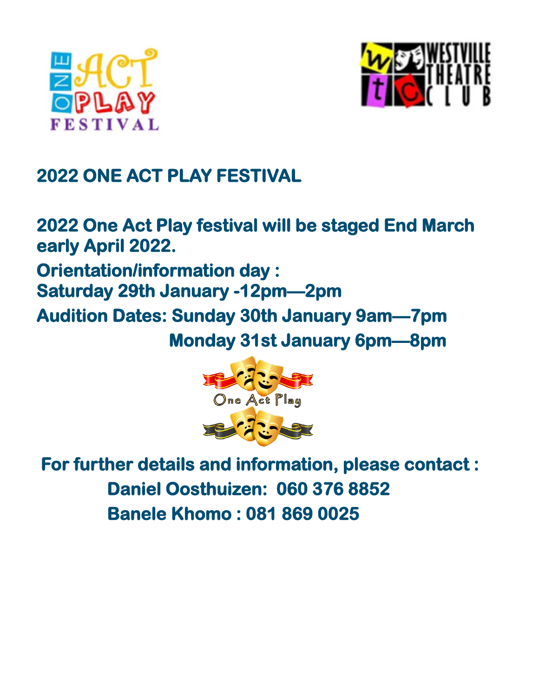



## **2022 ONE ACT PLAY FESTIVAL**

**2022 One Act Play festival will be staged End March early April 2022. Orientation/information day : Saturday 29th January -12pm—2pm Audition Dates: Sunday 30th January 9am—7pm Monday 31st January 6pm—8pm** 



 **For further details and information, please contact : Daniel Oosthuizen: 060 376 8852 Banele Khomo : 081 869 0025**